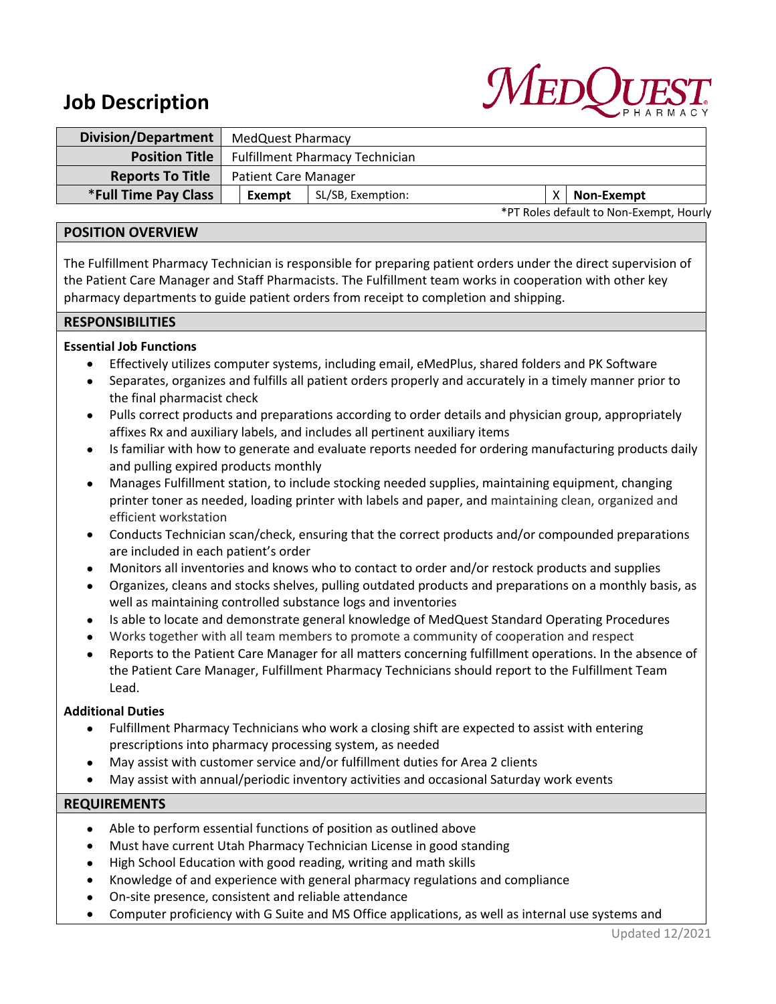# **MEDC**

# **Job Description**

| Division/Department     | MedQuest Pharmacy                       |                   |  |  |            |
|-------------------------|-----------------------------------------|-------------------|--|--|------------|
| <b>Position Title</b>   | <b>Fulfillment Pharmacy Technician</b>  |                   |  |  |            |
| <b>Reports To Title</b> | <b>Patient Care Manager</b>             |                   |  |  |            |
| *Full Time Pay Class    | Exempt                                  | SL/SB, Exemption: |  |  | Non-Exempt |
|                         | *PT Roles default to Non-Exempt, Hourly |                   |  |  |            |

**POSITION OVERVIEW**

The Fulfillment Pharmacy Technician is responsible for preparing patient orders under the direct supervision of the Patient Care Manager and Staff Pharmacists. The Fulfillment team works in cooperation with other key pharmacy departments to guide patient orders from receipt to completion and shipping.

#### **RESPONSIBILITIES**

## **Essential Job Functions**

- Effectively utilizes computer systems, including email, eMedPlus, shared folders and PK Software
- Separates, organizes and fulfills all patient orders properly and accurately in a timely manner prior to the final pharmacist check
- Pulls correct products and preparations according to order details and physician group, appropriately affixes Rx and auxiliary labels, and includes all pertinent auxiliary items
- Is familiar with how to generate and evaluate reports needed for ordering manufacturing products daily and pulling expired products monthly
- Manages Fulfillment station, to include stocking needed supplies, maintaining equipment, changing printer toner as needed, loading printer with labels and paper, and maintaining clean, organized and efficient workstation
- Conducts Technician scan/check, ensuring that the correct products and/or compounded preparations are included in each patient's order
- Monitors all inventories and knows who to contact to order and/or restock products and supplies
- Organizes, cleans and stocks shelves, pulling outdated products and preparations on a monthly basis, as well as maintaining controlled substance logs and inventories
- Is able to locate and demonstrate general knowledge of MedQuest Standard Operating Procedures
- Works together with all team members to promote a community of cooperation and respect
- Reports to the Patient Care Manager for all matters concerning fulfillment operations. In the absence of the Patient Care Manager, Fulfillment Pharmacy Technicians should report to the Fulfillment Team Lead.

## **Additional Duties**

- Fulfillment Pharmacy Technicians who work a closing shift are expected to assist with entering prescriptions into pharmacy processing system, as needed
- May assist with customer service and/or fulfillment duties for Area 2 clients
- May assist with annual/periodic inventory activities and occasional Saturday work events

#### **REQUIREMENTS**

- Able to perform essential functions of position as outlined above
- Must have current Utah Pharmacy Technician License in good standing
- High School Education with good reading, writing and math skills
- Knowledge of and experience with general pharmacy regulations and compliance
- On-site presence, consistent and reliable attendance
- Computer proficiency with G Suite and MS Office applications, as well as internal use systems and